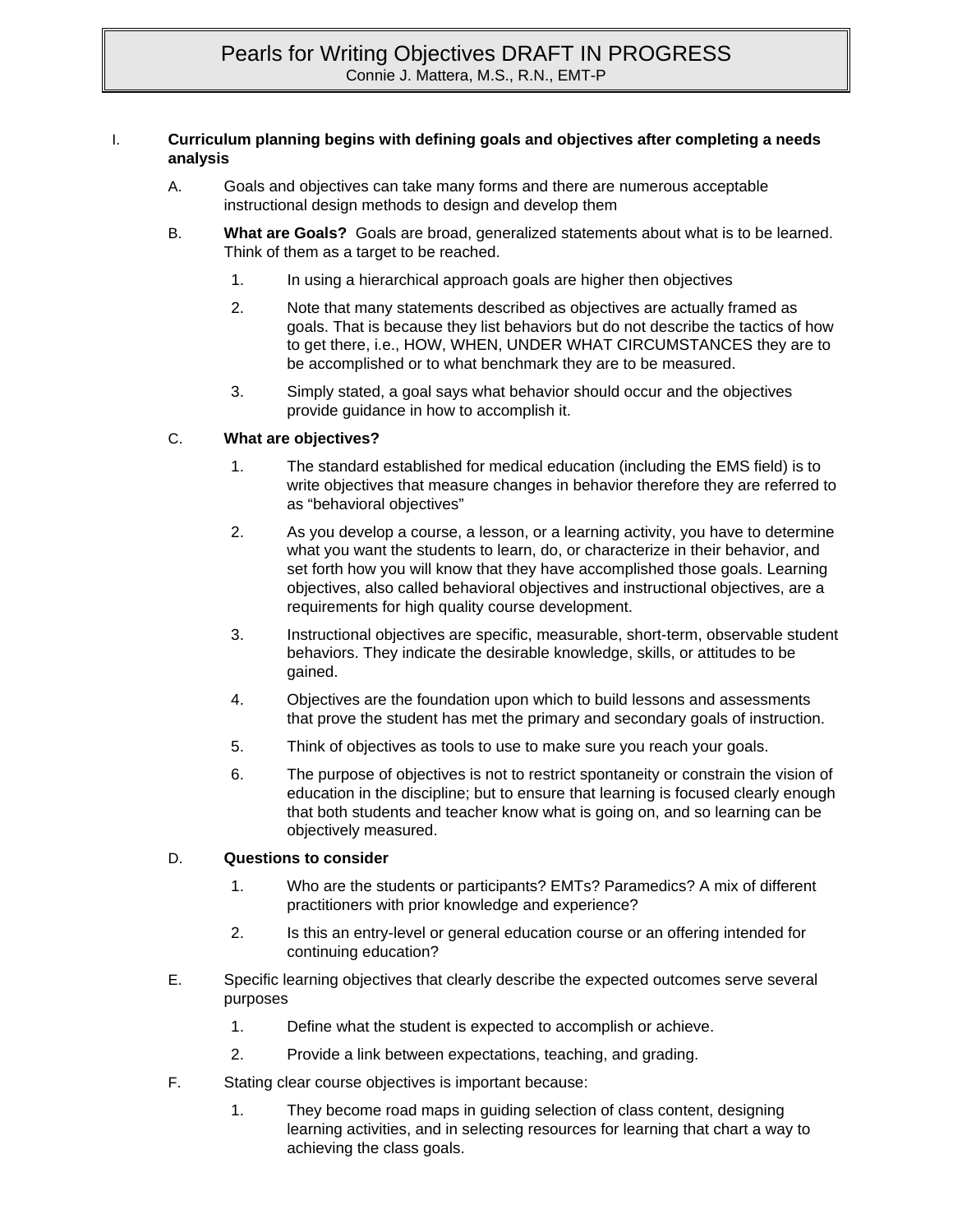#### I. **Curriculum planning begins with defining goals and objectives after completing a needs analysis**

- A. Goals and objectives can take many forms and there are numerous acceptable instructional design methods to design and develop them
- B. **What are Goals?** Goals are broad, generalized statements about what is to be learned. Think of them as a target to be reached.
	- 1. In using a hierarchical approach goals are higher then objectives
	- 2. Note that many statements described as objectives are actually framed as goals. That is because they list behaviors but do not describe the tactics of how to get there, i.e., HOW, WHEN, UNDER WHAT CIRCUMSTANCES they are to be accomplished or to what benchmark they are to be measured.
	- 3. Simply stated, a goal says what behavior should occur and the objectives provide guidance in how to accomplish it.

#### C. **What are objectives?**

- 1. The standard established for medical education (including the EMS field) is to write objectives that measure changes in behavior therefore they are referred to as "behavioral objectives"
- 2. As you develop a course, a lesson, or a learning activity, you have to determine what you want the students to learn, do, or characterize in their behavior, and set forth how you will know that they have accomplished those goals. Learning objectives, also called behavioral objectives and instructional objectives, are a requirements for high quality course development.
- 3. Instructional objectives are specific, measurable, short-term, observable student behaviors. They indicate the desirable knowledge, skills, or attitudes to be gained.
- 4. Objectives are the foundation upon which to build lessons and assessments that prove the student has met the primary and secondary goals of instruction.
- 5. Think of objectives as tools to use to make sure you reach your goals.
- 6. The purpose of objectives is not to restrict spontaneity or constrain the vision of education in the discipline; but to ensure that learning is focused clearly enough that both students and teacher know what is going on, and so learning can be objectively measured.

#### D. **Questions to consider**

- 1. Who are the students or participants? EMTs? Paramedics? A mix of different practitioners with prior knowledge and experience?
- 2. Is this an entry-level or general education course or an offering intended for continuing education?
- E. Specific learning objectives that clearly describe the expected outcomes serve several purposes
	- 1. Define what the student is expected to accomplish or achieve.
	- 2. Provide a link between expectations, teaching, and grading.
- F. Stating clear course objectives is important because:
	- 1. They become road maps in guiding selection of class content, designing learning activities, and in selecting resources for learning that chart a way to achieving the class goals.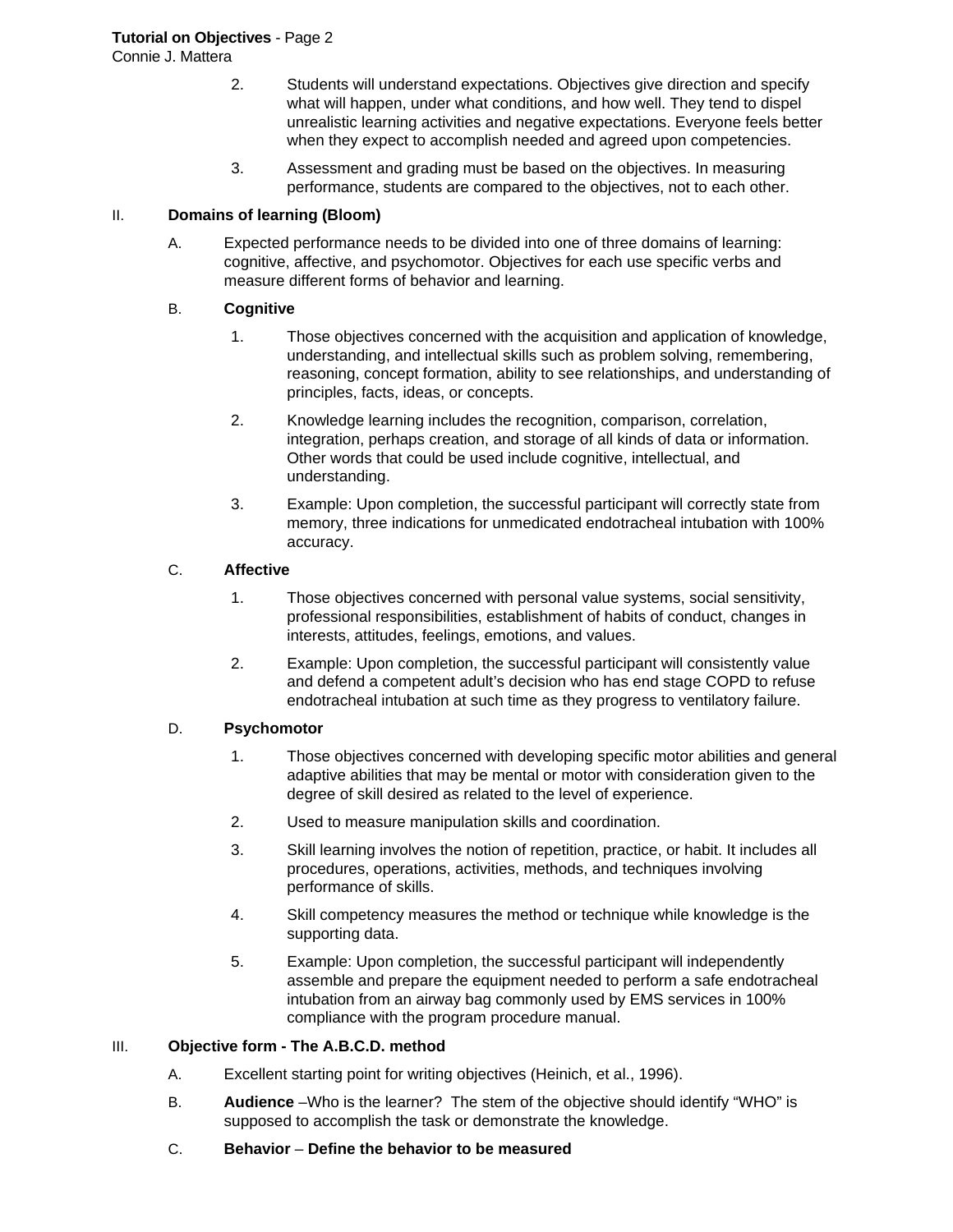Connie J. Mattera

- 2. Students will understand expectations. Objectives give direction and specify what will happen, under what conditions, and how well. They tend to dispel unrealistic learning activities and negative expectations. Everyone feels better when they expect to accomplish needed and agreed upon competencies.
- 3. Assessment and grading must be based on the objectives. In measuring performance, students are compared to the objectives, not to each other.

#### II. **Domains of learning (Bloom)**

A. Expected performance needs to be divided into one of three domains of learning: cognitive, affective, and psychomotor. Objectives for each use specific verbs and measure different forms of behavior and learning.

#### B. **Cognitive**

- 1. Those objectives concerned with the acquisition and application of knowledge, understanding, and intellectual skills such as problem solving, remembering, reasoning, concept formation, ability to see relationships, and understanding of principles, facts, ideas, or concepts.
- 2. Knowledge learning includes the recognition, comparison, correlation, integration, perhaps creation, and storage of all kinds of data or information. Other words that could be used include cognitive, intellectual, and understanding.
- 3. Example: Upon completion, the successful participant will correctly state from memory, three indications for unmedicated endotracheal intubation with 100% accuracy.

#### C. **Affective**

- 1. Those objectives concerned with personal value systems, social sensitivity, professional responsibilities, establishment of habits of conduct, changes in interests, attitudes, feelings, emotions, and values.
- 2. Example: Upon completion, the successful participant will consistently value and defend a competent adult's decision who has end stage COPD to refuse endotracheal intubation at such time as they progress to ventilatory failure.

#### D. **Psychomotor**

- 1. Those objectives concerned with developing specific motor abilities and general adaptive abilities that may be mental or motor with consideration given to the degree of skill desired as related to the level of experience.
- 2. Used to measure manipulation skills and coordination.
- 3. Skill learning involves the notion of repetition, practice, or habit. It includes all procedures, operations, activities, methods, and techniques involving performance of skills.
- 4. Skill competency measures the method or technique while knowledge is the supporting data.
- 5. Example: Upon completion, the successful participant will independently assemble and prepare the equipment needed to perform a safe endotracheal intubation from an airway bag commonly used by EMS services in 100% compliance with the program procedure manual.

#### III. **Objective form - The A.B.C.D. method**

- A. Excellent starting point for writing objectives (Heinich, et al., 1996).
- B. **Audience** –Who is the learner? The stem of the objective should identify "WHO" is supposed to accomplish the task or demonstrate the knowledge.
- C. **Behavior Define the behavior to be measured**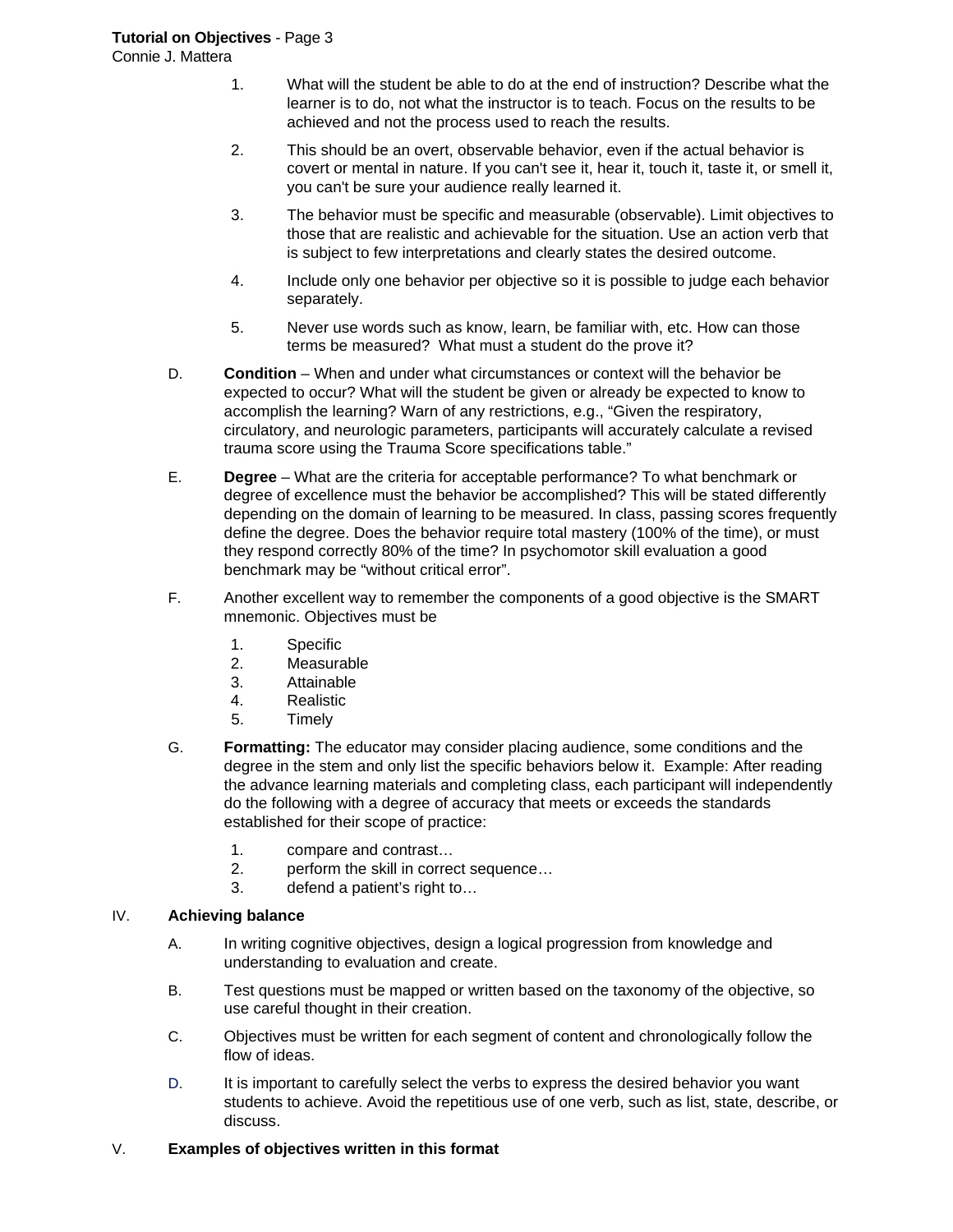Connie J. Mattera

- 1. What will the student be able to do at the end of instruction? Describe what the learner is to do, not what the instructor is to teach. Focus on the results to be achieved and not the process used to reach the results.
- 2. This should be an overt, observable behavior, even if the actual behavior is covert or mental in nature. If you can't see it, hear it, touch it, taste it, or smell it, you can't be sure your audience really learned it.
- 3. The behavior must be specific and measurable (observable). Limit objectives to those that are realistic and achievable for the situation. Use an action verb that is subject to few interpretations and clearly states the desired outcome.
- 4. Include only one behavior per objective so it is possible to judge each behavior separately.
- 5. Never use words such as know, learn, be familiar with, etc. How can those terms be measured? What must a student do the prove it?
- D. **Condition**  When and under what circumstances or context will the behavior be expected to occur? What will the student be given or already be expected to know to accomplish the learning? Warn of any restrictions, e.g., "Given the respiratory, circulatory, and neurologic parameters, participants will accurately calculate a revised trauma score using the Trauma Score specifications table."
- E. **Degree**  What are the criteria for acceptable performance? To what benchmark or degree of excellence must the behavior be accomplished? This will be stated differently depending on the domain of learning to be measured. In class, passing scores frequently define the degree. Does the behavior require total mastery (100% of the time), or must they respond correctly 80% of the time? In psychomotor skill evaluation a good benchmark may be "without critical error".
- F. Another excellent way to remember the components of a good objective is the SMART mnemonic. Objectives must be
	- 1. Specific
	- 2. Measurable
	- 3. Attainable
	- 4. Realistic
	- 5. Timely
- G. **Formatting:** The educator may consider placing audience, some conditions and the degree in the stem and only list the specific behaviors below it. Example: After reading the advance learning materials and completing class, each participant will independently do the following with a degree of accuracy that meets or exceeds the standards established for their scope of practice:
	- 1. compare and contrast…
	- 2. perform the skill in correct sequence…
	- 3. defend a patient's right to…

#### IV. **Achieving balance**

- A. In writing cognitive objectives, design a logical progression from knowledge and understanding to evaluation and create.
- B. Test questions must be mapped or written based on the taxonomy of the objective, so use careful thought in their creation.
- C. Objectives must be written for each segment of content and chronologically follow the flow of ideas.
- D. It is important to carefully select the verbs to express the desired behavior you want students to achieve. Avoid the repetitious use of one verb, such as list, state, describe, or discuss.

### V. **Examples of objectives written in this format**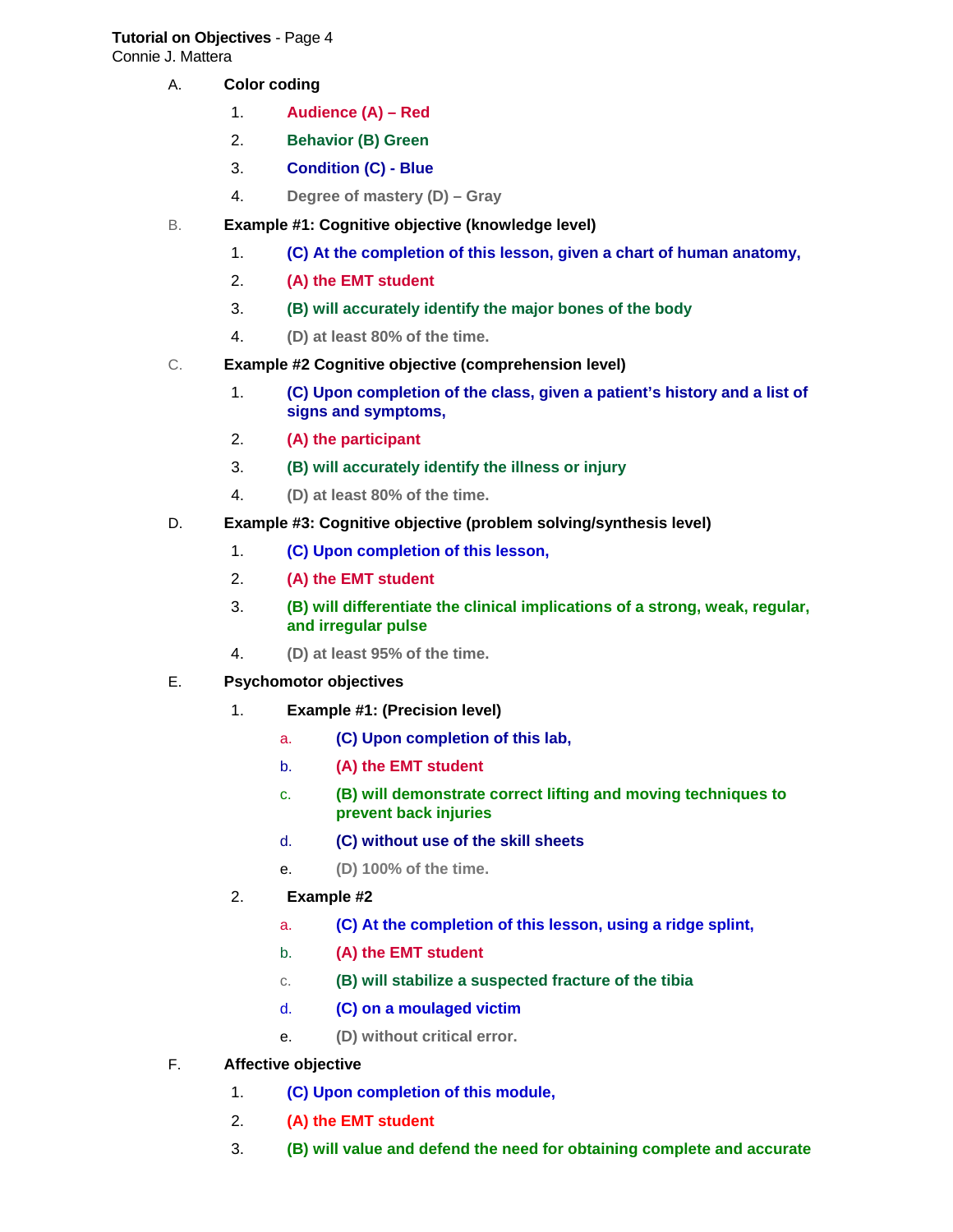# **Tutorial on Objectives** - Page 4

Connie J. Mattera

- A. **Color coding** 
	- 1. **Audience (A) Red**
	- 2. **Behavior (B) Green**
	- 3. **Condition (C) Blue**
	- 4. **Degree of mastery (D) Gray**
- B. **Example #1: Cognitive objective (knowledge level)**
	- 1. **(C) At the completion of this lesson, given a chart of human anatomy,**
	- 2. **(A) the EMT student**
	- 3. **(B) will accurately identify the major bones of the body**
	- 4. **(D) at least 80% of the time.**
- C. **Example #2 Cognitive objective (comprehension level)**
	- 1. **(C) Upon completion of the class, given a patient's history and a list of signs and symptoms,**
	- 2. **(A) the participant**
	- 3. **(B) will accurately identify the illness or injury**
	- 4. **(D) at least 80% of the time.**
- D. **Example #3: Cognitive objective (problem solving/synthesis level)** 
	- 1. **(C) Upon completion of this lesson,**
	- 2. **(A) the EMT student**
	- 3. **(B) will differentiate the clinical implications of a strong, weak, regular, and irregular pulse**
	- 4. **(D) at least 95% of the time.**
- E. **Psychomotor objectives** 
	- 1. **Example #1: (Precision level)** 
		- a. **(C) Upon completion of this lab,**
		- b. **(A) the EMT student**
		- c. **(B) will demonstrate correct lifting and moving techniques to prevent back injuries**
		- d. **(C) without use of the skill sheets**
		- e. **(D) 100% of the time.**
	- 2. **Example #2** 
		- a. **(C) At the completion of this lesson, using a ridge splint,**
		- b. **(A) the EMT student**
		- c. **(B) will stabilize a suspected fracture of the tibia**
		- d. **(C) on a moulaged victim**
		- e. **(D) without critical error.**
- F. **Affective objective** 
	- 1. **(C) Upon completion of this module,**
	- 2. **(A) the EMT student**
	- 3. **(B) will value and defend the need for obtaining complete and accurate**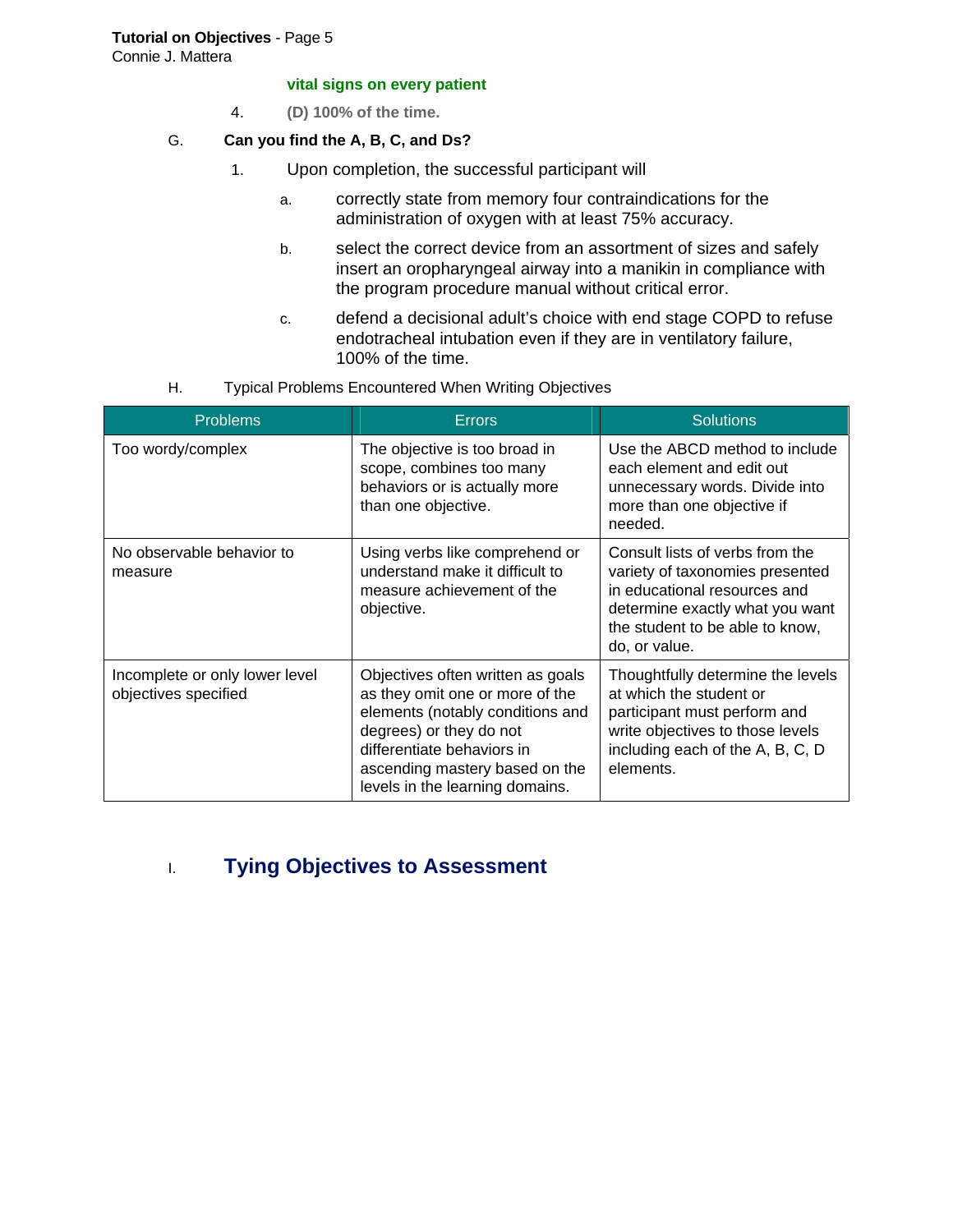#### **Tutorial on Objectives** - Page 5

Connie J. Mattera

#### **vital signs on every patient**

4. **(D) 100% of the time.**

#### G. **Can you find the A, B, C, and Ds?**

- 1. Upon completion, the successful participant will
	- a. correctly state from memory four contraindications for the administration of oxygen with at least 75% accuracy.
	- b. select the correct device from an assortment of sizes and safely insert an oropharyngeal airway into a manikin in compliance with the program procedure manual without critical error.
	- c. defend a decisional adult's choice with end stage COPD to refuse endotracheal intubation even if they are in ventilatory failure, 100% of the time.
- H. Typical Problems Encountered When Writing Objectives

| <b>Problems</b>                                        | <b>Errors</b>                                                                                                                                                                                                                          | <b>Solutions</b>                                                                                                                                                                          |
|--------------------------------------------------------|----------------------------------------------------------------------------------------------------------------------------------------------------------------------------------------------------------------------------------------|-------------------------------------------------------------------------------------------------------------------------------------------------------------------------------------------|
| Too wordy/complex                                      | The objective is too broad in<br>scope, combines too many<br>behaviors or is actually more<br>than one objective.                                                                                                                      | Use the ABCD method to include<br>each element and edit out<br>unnecessary words. Divide into<br>more than one objective if<br>needed.                                                    |
| No observable behavior to<br>measure                   | Using verbs like comprehend or<br>understand make it difficult to<br>measure achievement of the<br>objective.                                                                                                                          | Consult lists of verbs from the<br>variety of taxonomies presented<br>in educational resources and<br>determine exactly what you want<br>the student to be able to know,<br>do, or value. |
| Incomplete or only lower level<br>objectives specified | Objectives often written as goals<br>as they omit one or more of the<br>elements (notably conditions and<br>degrees) or they do not<br>differentiate behaviors in<br>ascending mastery based on the<br>levels in the learning domains. | Thoughtfully determine the levels<br>at which the student or<br>participant must perform and<br>write objectives to those levels<br>including each of the A, B, C, D<br>elements.         |

## I. **Tying Objectives to Assessment**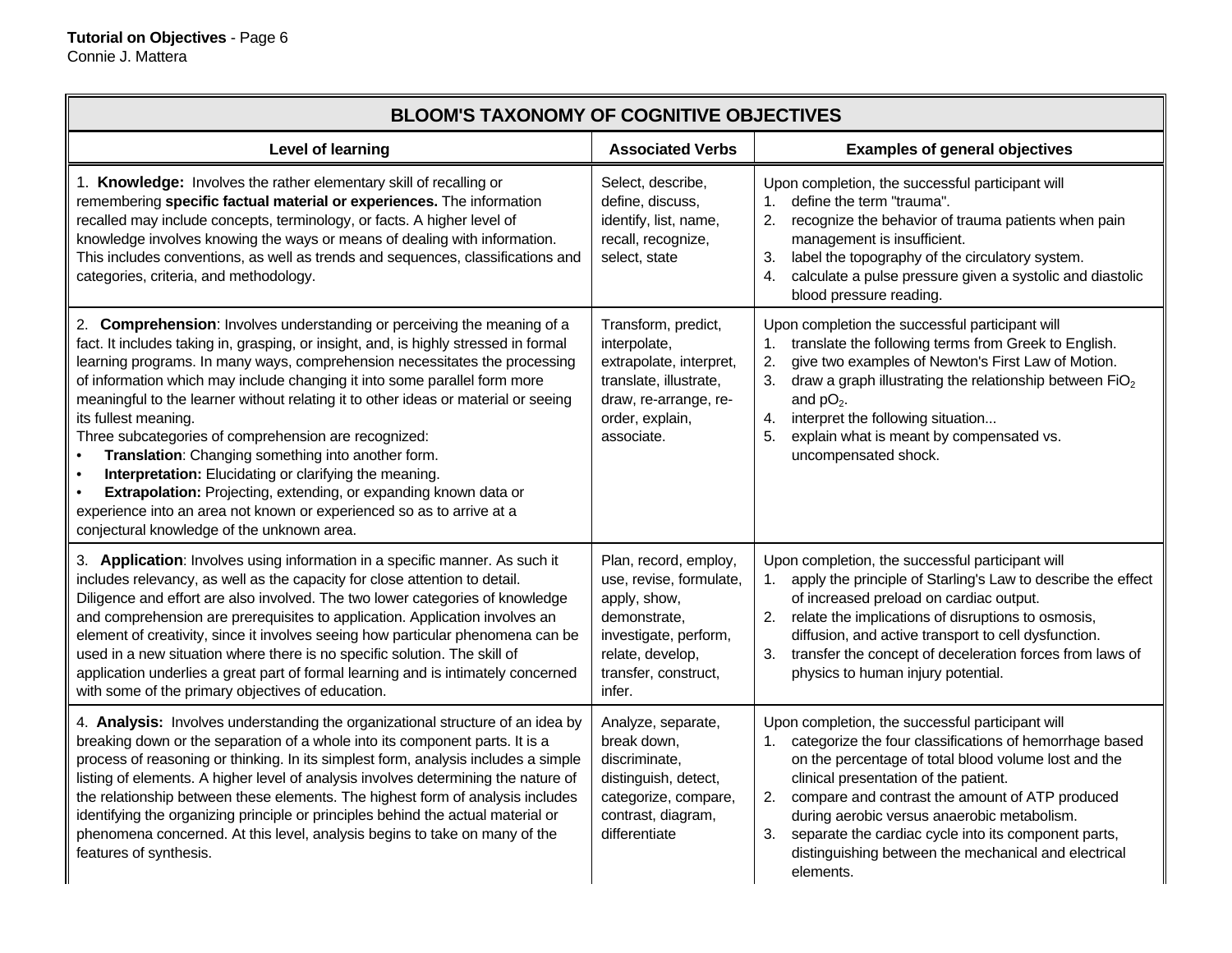| <b>BLOOM'S TAXONOMY OF COGNITIVE OBJECTIVES</b>                                                                                                                                                                                                                                                                                                                                                                                                                                                                                                                                                                                                                                                                                                                                                                          |                                                                                                                                                                 |                                                                                                                                                                                                                                                                                                                                                                                                                                                            |  |  |
|--------------------------------------------------------------------------------------------------------------------------------------------------------------------------------------------------------------------------------------------------------------------------------------------------------------------------------------------------------------------------------------------------------------------------------------------------------------------------------------------------------------------------------------------------------------------------------------------------------------------------------------------------------------------------------------------------------------------------------------------------------------------------------------------------------------------------|-----------------------------------------------------------------------------------------------------------------------------------------------------------------|------------------------------------------------------------------------------------------------------------------------------------------------------------------------------------------------------------------------------------------------------------------------------------------------------------------------------------------------------------------------------------------------------------------------------------------------------------|--|--|
| Level of learning                                                                                                                                                                                                                                                                                                                                                                                                                                                                                                                                                                                                                                                                                                                                                                                                        | <b>Associated Verbs</b>                                                                                                                                         | <b>Examples of general objectives</b>                                                                                                                                                                                                                                                                                                                                                                                                                      |  |  |
| 1. Knowledge: Involves the rather elementary skill of recalling or<br>remembering specific factual material or experiences. The information<br>recalled may include concepts, terminology, or facts. A higher level of<br>knowledge involves knowing the ways or means of dealing with information.<br>This includes conventions, as well as trends and sequences, classifications and<br>categories, criteria, and methodology.                                                                                                                                                                                                                                                                                                                                                                                         | Select, describe,<br>define, discuss,<br>identify, list, name,<br>recall, recognize,<br>select, state                                                           | Upon completion, the successful participant will<br>define the term "trauma".<br>1.<br>2.<br>recognize the behavior of trauma patients when pain<br>management is insufficient.<br>label the topography of the circulatory system.<br>3.<br>calculate a pulse pressure given a systolic and diastolic<br>4.<br>blood pressure reading.                                                                                                                     |  |  |
| 2. Comprehension: Involves understanding or perceiving the meaning of a<br>fact. It includes taking in, grasping, or insight, and, is highly stressed in formal<br>learning programs. In many ways, comprehension necessitates the processing<br>of information which may include changing it into some parallel form more<br>meaningful to the learner without relating it to other ideas or material or seeing<br>its fullest meaning.<br>Three subcategories of comprehension are recognized:<br>Translation: Changing something into another form.<br>Interpretation: Elucidating or clarifying the meaning.<br>$\bullet$<br>Extrapolation: Projecting, extending, or expanding known data or<br>experience into an area not known or experienced so as to arrive at a<br>conjectural knowledge of the unknown area. | Transform, predict,<br>interpolate,<br>extrapolate, interpret,<br>translate, illustrate,<br>draw, re-arrange, re-<br>order, explain,<br>associate.              | Upon completion the successful participant will<br>translate the following terms from Greek to English.<br>1.<br>give two examples of Newton's First Law of Motion.<br>2.<br>3.<br>draw a graph illustrating the relationship between $FiO2$<br>and $pO2$ .<br>interpret the following situation<br>4.<br>explain what is meant by compensated vs.<br>5.<br>uncompensated shock.                                                                           |  |  |
| 3. Application: Involves using information in a specific manner. As such it<br>includes relevancy, as well as the capacity for close attention to detail.<br>Diligence and effort are also involved. The two lower categories of knowledge<br>and comprehension are prerequisites to application. Application involves an<br>element of creativity, since it involves seeing how particular phenomena can be<br>used in a new situation where there is no specific solution. The skill of<br>application underlies a great part of formal learning and is intimately concerned<br>with some of the primary objectives of education.                                                                                                                                                                                      | Plan, record, employ,<br>use, revise, formulate,<br>apply, show,<br>demonstrate,<br>investigate, perform,<br>relate, develop,<br>transfer, construct,<br>infer. | Upon completion, the successful participant will<br>1. apply the principle of Starling's Law to describe the effect<br>of increased preload on cardiac output.<br>relate the implications of disruptions to osmosis,<br>2.<br>diffusion, and active transport to cell dysfunction.<br>transfer the concept of deceleration forces from laws of<br>3.<br>physics to human injury potential.                                                                 |  |  |
| 4. Analysis: Involves understanding the organizational structure of an idea by<br>breaking down or the separation of a whole into its component parts. It is a<br>process of reasoning or thinking. In its simplest form, analysis includes a simple<br>listing of elements. A higher level of analysis involves determining the nature of<br>the relationship between these elements. The highest form of analysis includes<br>identifying the organizing principle or principles behind the actual material or<br>phenomena concerned. At this level, analysis begins to take on many of the<br>features of synthesis.                                                                                                                                                                                                 | Analyze, separate,<br>break down,<br>discriminate,<br>distinguish, detect,<br>categorize, compare,<br>contrast, diagram,<br>differentiate                       | Upon completion, the successful participant will<br>1. categorize the four classifications of hemorrhage based<br>on the percentage of total blood volume lost and the<br>clinical presentation of the patient.<br>2.<br>compare and contrast the amount of ATP produced<br>during aerobic versus anaerobic metabolism.<br>3.<br>separate the cardiac cycle into its component parts,<br>distinguishing between the mechanical and electrical<br>elements. |  |  |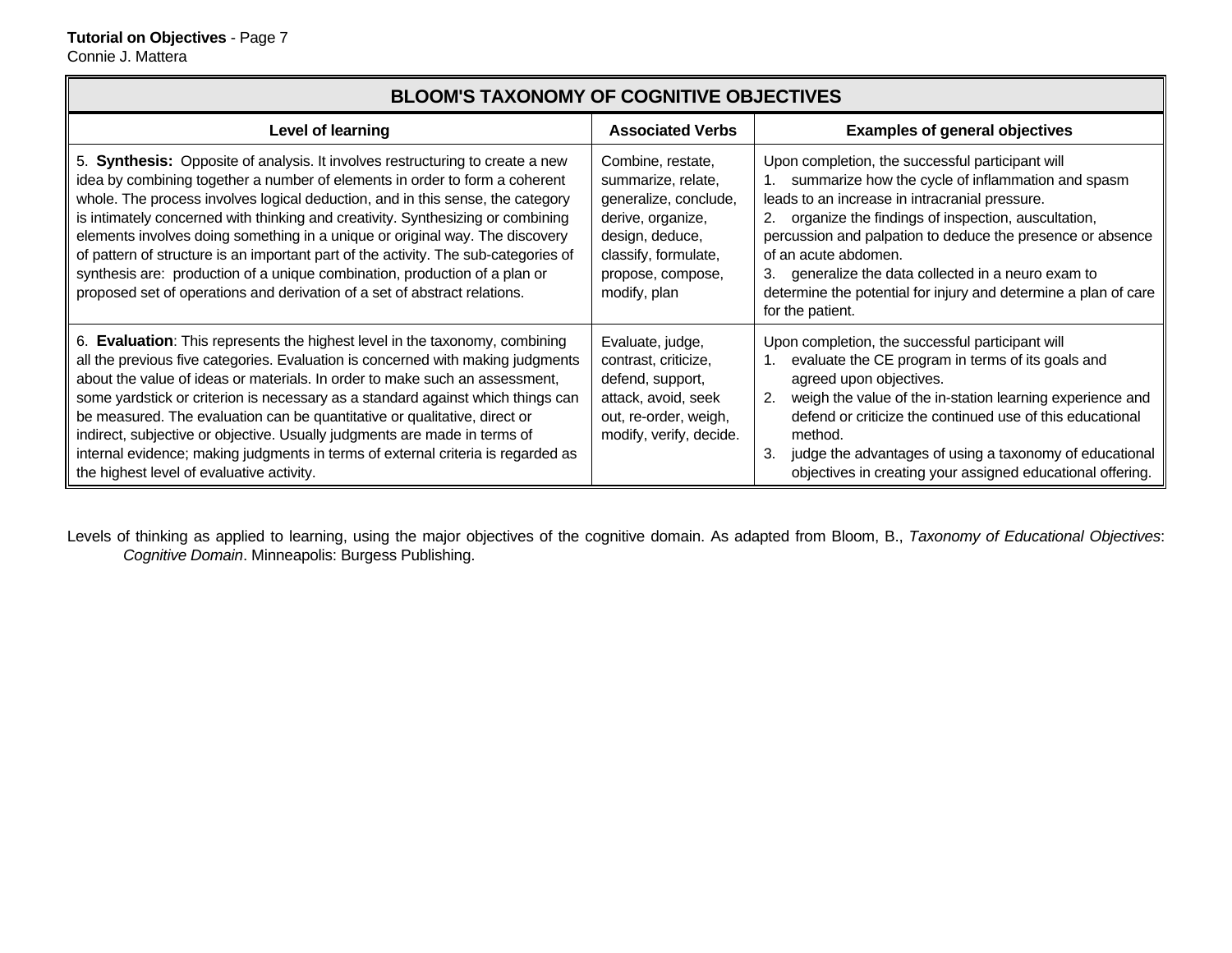#### **BLOOM'S TAXONOMY OF COGNITIVE OBJECTIVESLevel of learning**  Associated Verbs | **Associated Verbs | Examples of general objectives** 5. **Synthesis:** Opposite of analysis. It involves restructuring to create a new idea by combining together a number of elements in order to form a coherent whole. The process involves logical deduction, and in this sense, the category is intimately concerned with thinking and creativity. Synthesizing or combining elements involves doing something in a unique or original way. The discovery of pattern of structure is an important part of the activity. The sub-categories of synthesis are: production of a unique combination, production of a plan or proposed set of operations and derivation of a set of abstract relations. Combine, restate, summarize, relate, generalize, conclude, derive, organize, design, deduce, classify, formulate, propose, compose, modify, plan Upon completion, the successful participant will 1. summarize how the cycle of inflammation and spasm leads to an increase in intracranial pressure. 2. organize the findings of inspection, auscultation, percussion and palpation to deduce the presence or absence of an acute abdomen. 3. generalize the data collected in a neuro exam to determine the potential for injury and determine a plan of care for the patient. 6. **Evaluation**: This represents the highest level in the taxonomy, combining all the previous five categories. Evaluation is concerned with making judgments about the value of ideas or materials. In order to make such an assessment, some yardstick or criterion is necessary as a standard against which things can be measured. The evaluation can be quantitative or qualitative, direct or indirect, subjective or objective. Usually judgments are made in terms of internal evidence; making judgments in terms of external criteria is regarded as the highest level of evaluative activity. Evaluate, judge, contrast, criticize, defend, support, attack, avoid, seek out, re-order, weigh, modify, verify, decide. Upon completion, the successful participant will 1. evaluate the CE program in terms of its goals and agreed upon objectives. 2. weigh the value of the in-station learning experience and defend or criticize the continued use of this educational method. 3. judge the advantages of using a taxonomy of educational objectives in creating your assigned educational offering.

Levels of thinking as applied to learning, using the major objectives of the cognitive domain. As adapted from Bloom, B., *Taxonomy of Educational Objectives*: *Cognitive Domain*. Minneapolis: Burgess Publishing.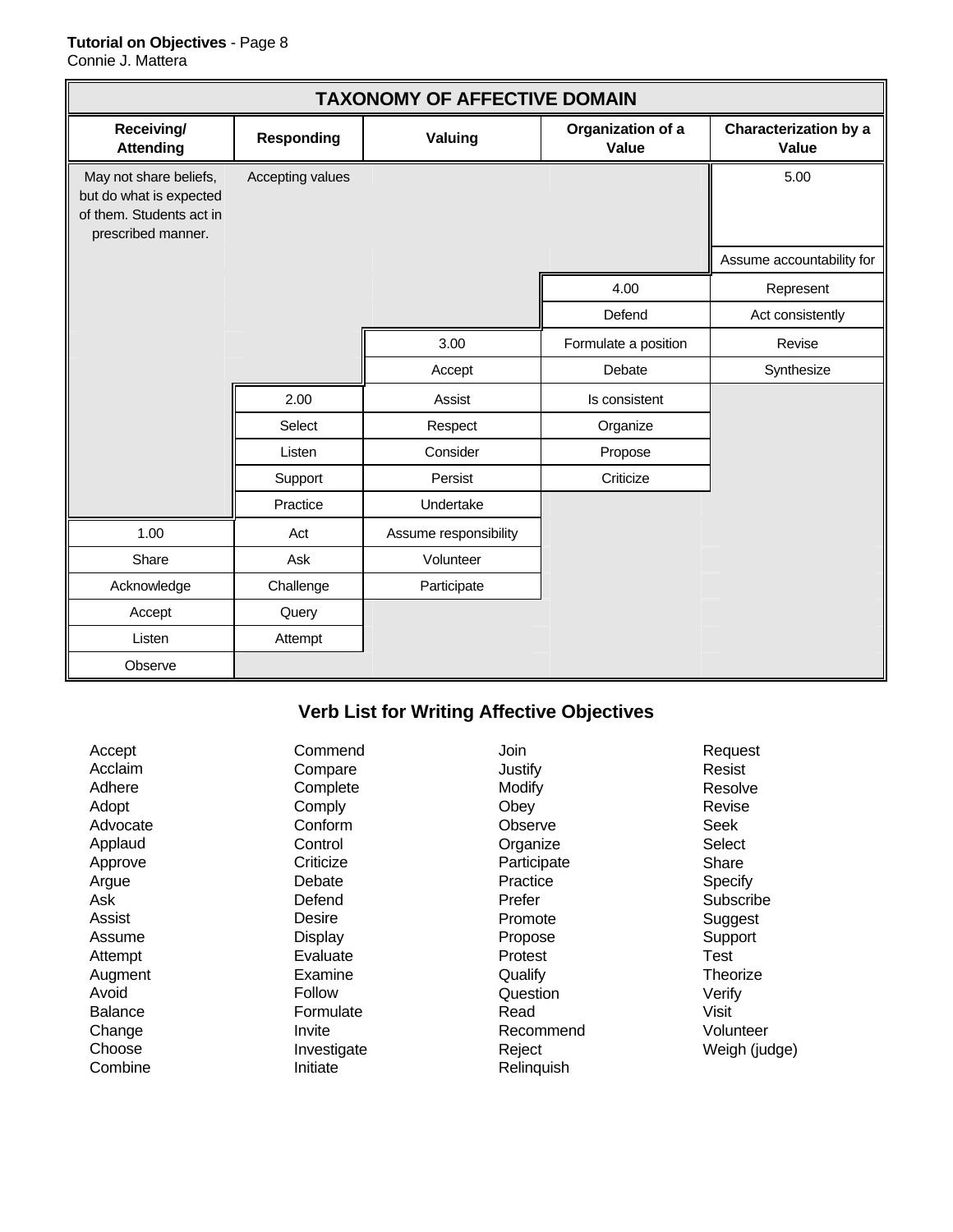#### **Tutorial on Objectives** - Page 8

Connie J. Mattera

| <b>TAXONOMY OF AFFECTIVE DOMAIN</b>                                                                 |                   |                       |                            |                                       |
|-----------------------------------------------------------------------------------------------------|-------------------|-----------------------|----------------------------|---------------------------------------|
| Receiving/<br><b>Attending</b>                                                                      | <b>Responding</b> | Valuing               | Organization of a<br>Value | <b>Characterization by a</b><br>Value |
| May not share beliefs,<br>but do what is expected<br>of them. Students act in<br>prescribed manner. | Accepting values  |                       |                            | 5.00                                  |
|                                                                                                     |                   |                       |                            | Assume accountability for             |
|                                                                                                     |                   |                       | 4.00                       | Represent                             |
|                                                                                                     |                   |                       | Defend                     | Act consistently                      |
|                                                                                                     |                   | 3.00                  | Formulate a position       | Revise                                |
|                                                                                                     |                   | Accept                | Debate                     | Synthesize                            |
|                                                                                                     | 2.00              | Assist                | Is consistent              |                                       |
|                                                                                                     | Select            | Respect               | Organize                   |                                       |
|                                                                                                     | Listen            | Consider              | Propose                    |                                       |
|                                                                                                     | Support           | Persist               | Criticize                  |                                       |
|                                                                                                     | Practice          | Undertake             |                            |                                       |
| 1.00                                                                                                | Act               | Assume responsibility |                            |                                       |
| Share                                                                                               | Ask               | Volunteer             |                            |                                       |
| Acknowledge                                                                                         | Challenge         | Participate           |                            |                                       |
| Accept                                                                                              | Query             |                       |                            |                                       |
| Listen                                                                                              | Attempt           |                       |                            |                                       |
| Observe                                                                                             |                   |                       |                            |                                       |

# **Verb List for Writing Affective Objectives**

| Accept<br>Acclaim<br>Adhere<br>Adopt<br>Advocate<br>Applaud<br>Approve<br>Argue<br>Ask<br>Assist<br>Assume<br>Attempt<br>Augment<br>Avoid | Commend<br>Compare<br>Complete<br>Comply<br>Conform<br>Control<br>Criticize<br>Debate<br>Defend<br>Desire<br>Display<br>Evaluate<br>Examine<br>Follow | Join<br>Justify<br>Modify<br>Obey<br>Observe<br>Organize<br>Participate<br>Practice<br>Prefer<br>Promote<br>Propose<br>Protest<br>Qualify<br>Question | Request<br>Resist<br>Resolve<br>Revise<br>Seek<br>Select<br>Share<br>Specify<br>Subscribe<br>Suggest<br>Support<br>Test<br>Theorize<br>Verify |
|-------------------------------------------------------------------------------------------------------------------------------------------|-------------------------------------------------------------------------------------------------------------------------------------------------------|-------------------------------------------------------------------------------------------------------------------------------------------------------|-----------------------------------------------------------------------------------------------------------------------------------------------|
|                                                                                                                                           |                                                                                                                                                       |                                                                                                                                                       |                                                                                                                                               |
| <b>Balance</b><br>Change<br>Choose<br>Combine                                                                                             | Formulate<br>Invite<br>Investigate<br>Initiate                                                                                                        | Read<br>Recommend<br>Reject<br>Relinquish                                                                                                             | Visit<br>Volunteer<br>Weigh (judge)                                                                                                           |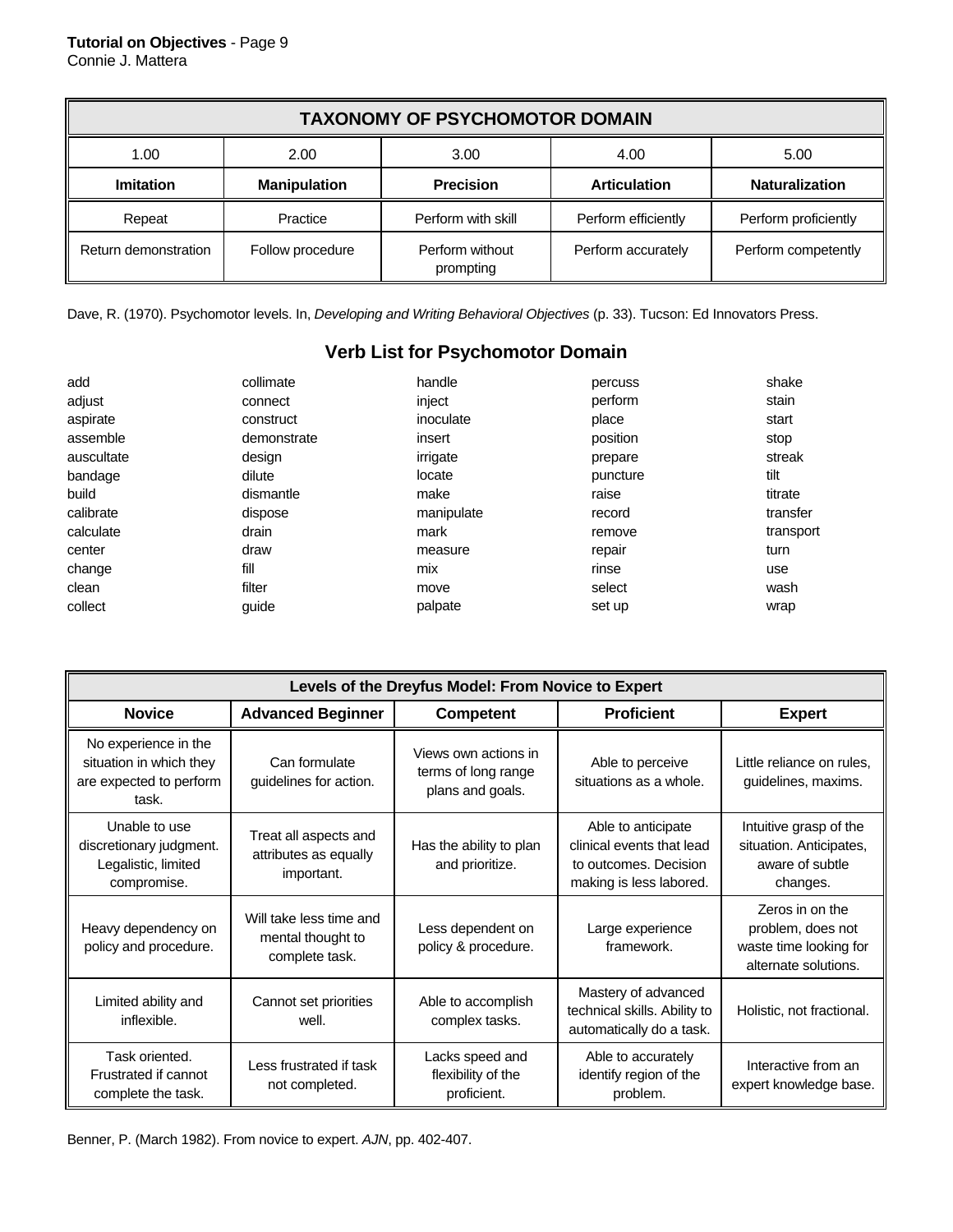| <b>TAXONOMY OF PSYCHOMOTOR DOMAIN</b> |                     |                              |                     |                       |
|---------------------------------------|---------------------|------------------------------|---------------------|-----------------------|
| 1.00                                  | 2.00                | 3.00                         | 4.00                | 5.00                  |
| Imitation                             | <b>Manipulation</b> | <b>Precision</b>             | <b>Articulation</b> | <b>Naturalization</b> |
| Repeat                                | Practice            | Perform with skill           | Perform efficiently | Perform proficiently  |
| Return demonstration                  | Follow procedure    | Perform without<br>prompting | Perform accurately  | Perform competently   |

Dave, R. (1970). Psychomotor levels. In, *Developing and Writing Behavioral Objectives* (p. 33). Tucson: Ed Innovators Press.

### **Verb List for Psychomotor Domain**

| add        | collimate   | handle     | percuss  | shake     |
|------------|-------------|------------|----------|-----------|
| adjust     | connect     | inject     | perform  | stain     |
| aspirate   | construct   | inoculate  | place    | start     |
| assemble   | demonstrate | insert     | position | stop      |
| auscultate | design      | irrigate   | prepare  | streak    |
| bandage    | dilute      | locate     | puncture | tilt      |
| build      | dismantle   | make       | raise    | titrate   |
| calibrate  | dispose     | manipulate | record   | transfer  |
| calculate  | drain       | mark       | remove   | transport |
| center     | draw        | measure    | repair   | turn      |
| change     | fill        | mix        | rinse    | use       |
| clean      | filter      | move       | select   | wash      |
| collect    | quide       | palpate    | set up   | wrap      |

| Levels of the Dreyfus Model: From Novice to Expert                                  |                                                                |                                                                 |                                                                                                     |                                                                                        |
|-------------------------------------------------------------------------------------|----------------------------------------------------------------|-----------------------------------------------------------------|-----------------------------------------------------------------------------------------------------|----------------------------------------------------------------------------------------|
| <b>Novice</b>                                                                       | <b>Advanced Beginner</b>                                       | <b>Competent</b>                                                | <b>Proficient</b>                                                                                   | <b>Expert</b>                                                                          |
| No experience in the<br>situation in which they<br>are expected to perform<br>task. | Can formulate<br>guidelines for action.                        | Views own actions in<br>terms of long range<br>plans and goals. | Able to perceive<br>situations as a whole.                                                          | Little reliance on rules.<br>guidelines, maxims.                                       |
| Unable to use<br>discretionary judgment.<br>Legalistic, limited<br>compromise.      | Treat all aspects and<br>attributes as equally<br>important.   | Has the ability to plan<br>and prioritize.                      | Able to anticipate<br>clinical events that lead<br>to outcomes. Decision<br>making is less labored. | Intuitive grasp of the<br>situation. Anticipates,<br>aware of subtle<br>changes.       |
| Heavy dependency on<br>policy and procedure.                                        | Will take less time and<br>mental thought to<br>complete task. | Less dependent on<br>policy & procedure.                        | Large experience<br>framework.                                                                      | Zeros in on the<br>problem, does not<br>waste time looking for<br>alternate solutions. |
| Limited ability and<br>inflexible.                                                  | Cannot set priorities<br>well.                                 | Able to accomplish<br>complex tasks.                            | Mastery of advanced<br>technical skills. Ability to<br>automatically do a task.                     | Holistic, not fractional.                                                              |
| Task oriented.<br>Frustrated if cannot<br>complete the task.                        | Less frustrated if task<br>not completed.                      | Lacks speed and<br>flexibility of the<br>proficient.            | Able to accurately<br>identify region of the<br>problem.                                            | Interactive from an<br>expert knowledge base.                                          |

Benner, P. (March 1982). From novice to expert. *AJN*, pp. 402-407.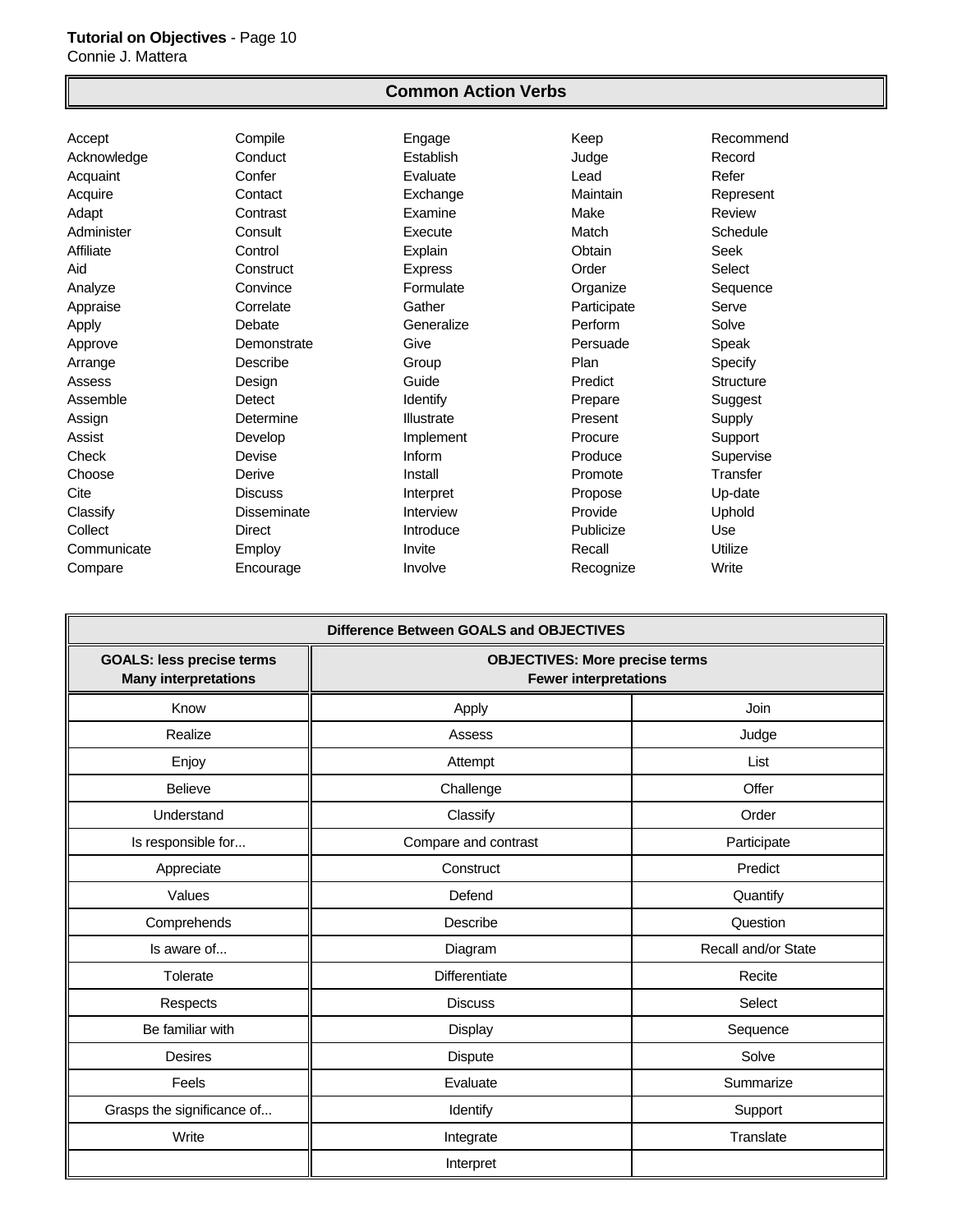#### **Common Action Verbs**

Accept Compile Engage Keep Recommend Acknowledge Conduct Establish Judge Record Acquaint Confer Evaluate Lead Refer Acquire Contact Exchange Maintain Represent Adapt Contrast Examine Make Review Administer Consult Execute Match Schedule Affiliate Control Explain Obtain Seek Aid Construct Express Order Select Analyze **Convince Formulate Convince Formulate Convince Convince Convince Formulate Convince CONVING** Appraise Correlate Gather Gather Participate Serve Apply **Debate** Generalize **Perform** Solve Approve **Demonstrate** Give **Persuade** Speak Arrange Describe Group Plan Specify Assess Design Guide Predict Structure Assemble Detect Identify Prepare Suggest Assign **Communist Communist Communist Communist Communist Communist Communist Communist Communist Communist Comm** Assist Develop Implement Procure Support Check Devise Inform Produce Supervise Choose **Derive** Derive **Install Promote** Promote Transfer Cite Discuss Interpret Propose Up-date Classify **Disseminate** Interview **Provide** Uphold Collect Direct Introduce Publicize Use Communicate **Employ Employ** Invite Recall Recall Utilize Compare **Encourage Involve** Recognize Write

| Difference Between GOALS and OBJECTIVES                         |                                                                       |                     |  |
|-----------------------------------------------------------------|-----------------------------------------------------------------------|---------------------|--|
| <b>GOALS: less precise terms</b><br><b>Many interpretations</b> | <b>OBJECTIVES: More precise terms</b><br><b>Fewer interpretations</b> |                     |  |
| Know                                                            | Apply                                                                 | Join                |  |
| Realize                                                         | Assess                                                                | Judge               |  |
| Enjoy                                                           | Attempt                                                               | List                |  |
| <b>Believe</b>                                                  | Challenge                                                             | Offer               |  |
| Understand                                                      | Classify                                                              | Order               |  |
| Is responsible for                                              | Compare and contrast                                                  | Participate         |  |
| Appreciate                                                      | Construct                                                             | Predict             |  |
| Values                                                          | Defend                                                                | Quantify            |  |
| Comprehends                                                     | Describe                                                              | Question            |  |
| Is aware of                                                     | Diagram                                                               | Recall and/or State |  |
| Tolerate                                                        | Differentiate                                                         | Recite              |  |
| Respects                                                        | <b>Discuss</b>                                                        | Select              |  |
| Be familiar with                                                | Display                                                               | Sequence            |  |
| <b>Desires</b>                                                  | <b>Dispute</b>                                                        | Solve               |  |
| Feels                                                           | Evaluate                                                              | Summarize           |  |
| Grasps the significance of                                      | Identify                                                              | Support             |  |
| Write                                                           | Integrate                                                             | Translate           |  |
|                                                                 | Interpret                                                             |                     |  |